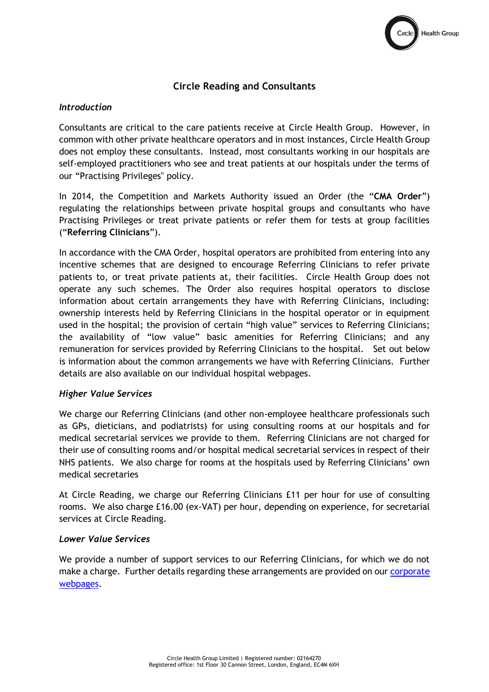

# **Circle Reading and Consultants**

#### *Introduction*

Consultants are critical to the care patients receive at Circle Health Group. However, in common with other private healthcare operators and in most instances, Circle Health Group does not employ these consultants. Instead, most consultants working in our hospitals are self-employed practitioners who see and treat patients at our hospitals under the terms of our "Practising Privileges" policy.

In 2014, the Competition and Markets Authority issued an Order (the "**CMA Order**") regulating the relationships between private hospital groups and consultants who have Practising Privileges or treat private patients or refer them for tests at group facilities ("**Referring Clinicians**").

In accordance with the CMA Order, hospital operators are prohibited from entering into any incentive schemes that are designed to encourage Referring Clinicians to refer private patients to, or treat private patients at, their facilities. Circle Health Group does not operate any such schemes. The Order also requires hospital operators to disclose information about certain arrangements they have with Referring Clinicians, including: ownership interests held by Referring Clinicians in the hospital operator or in equipment used in the hospital; the provision of certain "high value" services to Referring Clinicians; the availability of "low value" basic amenities for Referring Clinicians; and any remuneration for services provided by Referring Clinicians to the hospital. Set out below is information about the common arrangements we have with Referring Clinicians. Further details are also available on our individual hospital webpages.

#### *Higher Value Services*

We charge our Referring Clinicians (and other non-employee healthcare professionals such as GPs, dieticians, and podiatrists) for using consulting rooms at our hospitals and for medical secretarial services we provide to them. Referring Clinicians are not charged for their use of consulting rooms and/or hospital medical secretarial services in respect of their NHS patients. We also charge for rooms at the hospitals used by Referring Clinicians' own medical secretaries

At Circle Reading, we charge our Referring Clinicians £11 per hour for use of consulting rooms. We also charge £16.00 (ex-VAT) per hour, depending on experience, for secretarial services at Circle Reading.

## *Lower Value Services*

We provide a number of support services to our Referring Clinicians, for which we do not make a charge. Further details regarding these arrangements are provided on our [corporate](https://www.circlehealthgroup.co.uk/-/media/circle/pdfs/cma-statements/chg-website-disclosure.pdf)  [webpages.](https://www.circlehealthgroup.co.uk/-/media/circle/pdfs/cma-statements/chg-website-disclosure.pdf)